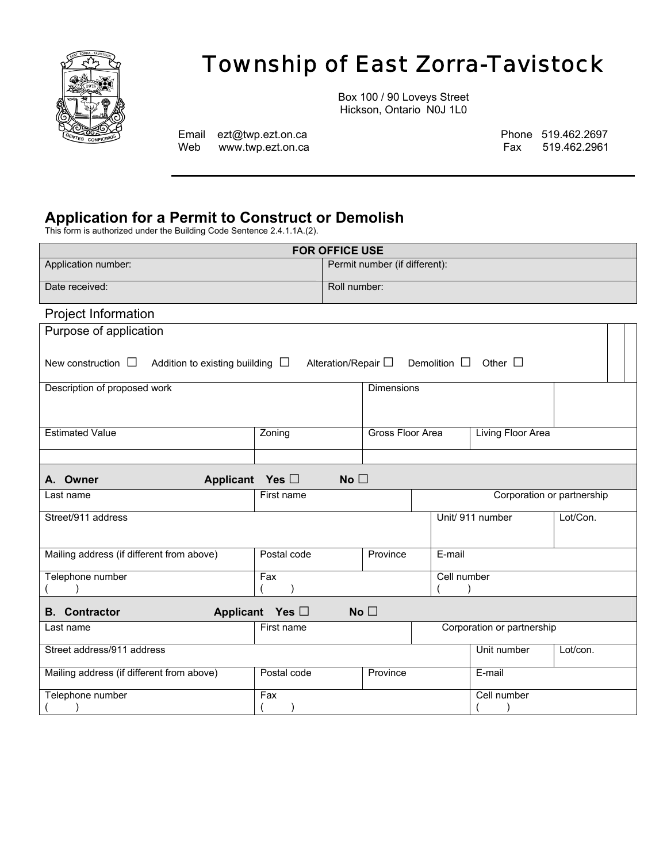

# *Township of East Zorra-Tavistock*

Web www.twp.ezt.on.ca **Fax** 519.462.2961

Box 100 / 90 Loveys Street Hickson, Ontario N0J 1L0

Email ezt@twp.ezt.on.ca Phone 519.462.2697

## **Application for a Permit to Construct or Demolish**

This form is authorized under the Building Code Sentence 2.4.1.1A.(2).

|                                                                 |                      | <b>FOR OFFICE USE</b> |                               |                                                                  |                            |                            |  |
|-----------------------------------------------------------------|----------------------|-----------------------|-------------------------------|------------------------------------------------------------------|----------------------------|----------------------------|--|
| Application number:                                             |                      |                       | Permit number (if different): |                                                                  |                            |                            |  |
| Date received:                                                  | Roll number:         |                       |                               |                                                                  |                            |                            |  |
| Project Information                                             |                      |                       |                               |                                                                  |                            |                            |  |
| Purpose of application                                          |                      |                       |                               |                                                                  |                            |                            |  |
| New construction $\Box$<br>Addition to existing building $\Box$ |                      |                       |                               | Alteration/Repair $\square$ Demolition $\square$ Other $\square$ |                            |                            |  |
| Description of proposed work                                    |                      |                       | <b>Dimensions</b>             |                                                                  |                            |                            |  |
|                                                                 |                      |                       |                               |                                                                  |                            |                            |  |
| <b>Estimated Value</b>                                          | Zoning               |                       | <b>Gross Floor Area</b>       |                                                                  | <b>Living Floor Area</b>   |                            |  |
|                                                                 |                      |                       |                               |                                                                  |                            |                            |  |
| <b>Applicant</b><br>A. Owner                                    | Yes $\Box$           | No $\square$          |                               |                                                                  |                            |                            |  |
| Last name                                                       | First name           |                       |                               |                                                                  |                            | Corporation or partnership |  |
| Street/911 address                                              |                      |                       |                               |                                                                  | Unit/ 911 number           | Lot/Con.                   |  |
|                                                                 |                      |                       |                               |                                                                  |                            |                            |  |
| Mailing address (if different from above)                       | Postal code          |                       | Province                      | E-mail                                                           |                            |                            |  |
| Telephone number                                                | Fax                  |                       |                               | Cell number                                                      |                            |                            |  |
|                                                                 |                      |                       |                               |                                                                  |                            |                            |  |
| <b>B.</b> Contractor                                            | Applicant Yes $\Box$ |                       | No $\square$                  |                                                                  |                            |                            |  |
| Last name                                                       | First name           |                       |                               |                                                                  | Corporation or partnership |                            |  |
| Street address/911 address                                      |                      |                       |                               |                                                                  | Unit number                | Lot/con.                   |  |
| Mailing address (if different from above)                       | Postal code          |                       | Province                      |                                                                  | E-mail                     |                            |  |
| Telephone number                                                | Fax                  |                       |                               |                                                                  | Cell number                |                            |  |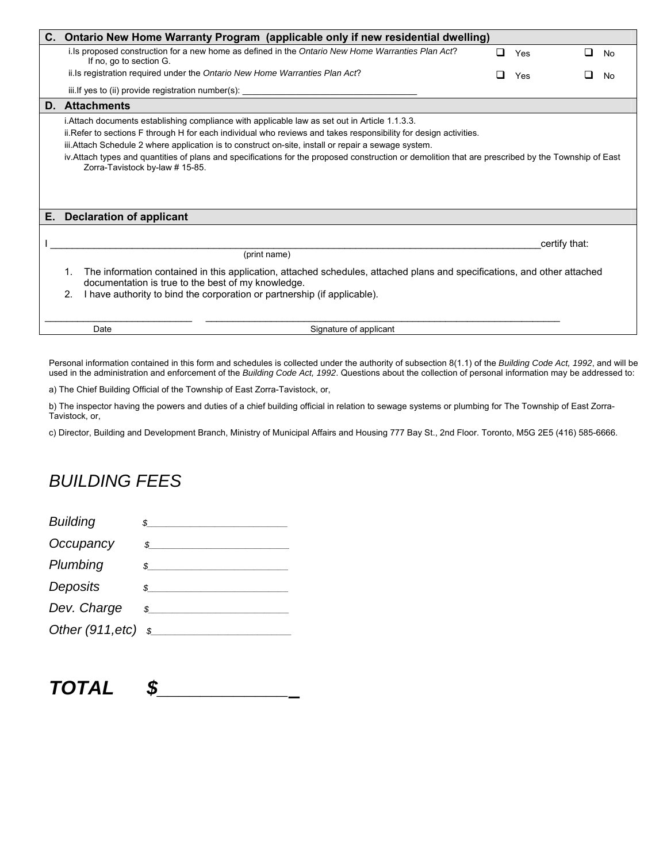|    | C. Ontario New Home Warranty Program (applicable only if new residential dwelling)                                                                                                                                                                                                                                                                                                                                 |   |               |   |    |
|----|--------------------------------------------------------------------------------------------------------------------------------------------------------------------------------------------------------------------------------------------------------------------------------------------------------------------------------------------------------------------------------------------------------------------|---|---------------|---|----|
|    | i. Is proposed construction for a new home as defined in the Ontario New Home Warranties Plan Act?<br>If no, go to section G.                                                                                                                                                                                                                                                                                      | ◻ | Yes           | ப | No |
|    | ii. Is registration required under the Ontario New Home Warranties Plan Act?                                                                                                                                                                                                                                                                                                                                       |   | Yes           |   | No |
|    | iii. If yes to (ii) provide registration number(s):                                                                                                                                                                                                                                                                                                                                                                |   |               |   |    |
|    | <b>D.</b> Attachments                                                                                                                                                                                                                                                                                                                                                                                              |   |               |   |    |
|    | ii. Refer to sections F through H for each individual who reviews and takes responsibility for design activities.<br>iii. Attach Schedule 2 where application is to construct on-site, install or repair a sewage system.<br>iv. Attach types and quantities of plans and specifications for the proposed construction or demolition that are prescribed by the Township of East<br>Zorra-Tavistock by-law #15-85. |   |               |   |    |
| Е. | <b>Declaration of applicant</b>                                                                                                                                                                                                                                                                                                                                                                                    |   |               |   |    |
|    | (print name)                                                                                                                                                                                                                                                                                                                                                                                                       |   | certify that: |   |    |
|    | The information contained in this application, attached schedules, attached plans and specifications, and other attached<br>1.<br>documentation is true to the best of my knowledge.<br>I have authority to bind the corporation or partnership (if applicable).<br>2.                                                                                                                                             |   |               |   |    |
|    | Date<br>Signature of applicant                                                                                                                                                                                                                                                                                                                                                                                     |   |               |   |    |

Personal information contained in this form and schedules is collected under the authority of subsection 8(1.1) of the *Building Code Act, 1992*, and will be used in the administration and enforcement of the *Building Code Act, 1992*. Questions about the collection of personal information may be addressed to:

a) The Chief Building Official of the Township of East Zorra-Tavistock, or,

b) The inspector having the powers and duties of a chief building official in relation to sewage systems or plumbing for The Township of East Zorra-Tavistock, or,

c) Director, Building and Development Branch, Ministry of Municipal Affairs and Housing 777 Bay St., 2nd Floor. Toronto, M5G 2E5 (416) 585-6666.

# *BUILDING FEES*

| <b>Building</b>      |               |
|----------------------|---------------|
| Occupancy            | $\mathcal{S}$ |
| Plumbing             | $\mathcal{S}$ |
| Deposits             | $\mathcal{S}$ |
| Dev. Charge          | \$            |
| Other $(911, etc)$ s |               |
|                      |               |

| CAL.<br>IUIAL |  |
|---------------|--|
|---------------|--|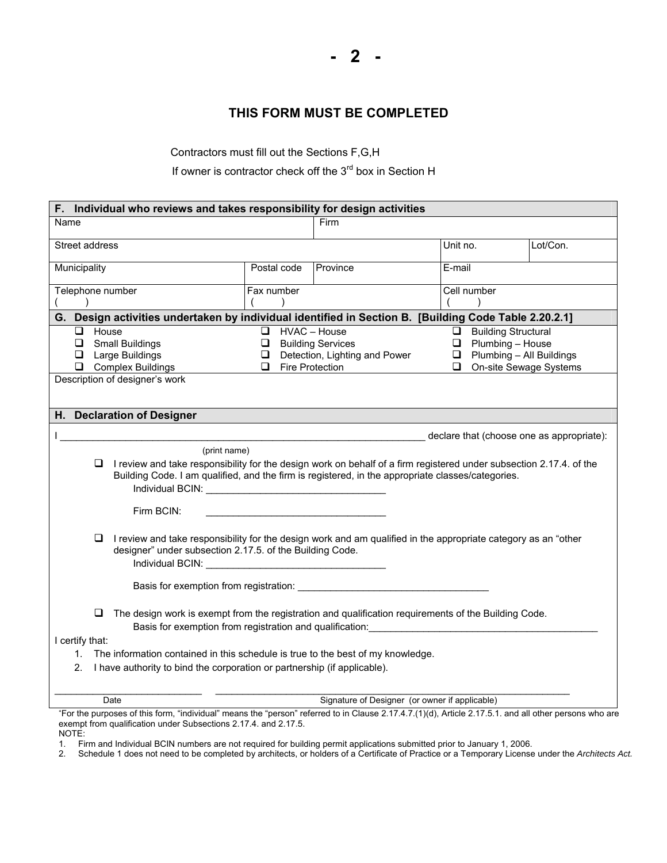#### **THIS FORM MUST BE COMPLETED**

Contractors must fill out the Sections F,G,H

If owner is contractor check off the 3<sup>rd</sup> box in Section H

| F. Individual who reviews and takes responsibility for design activities                                                                   |                                                                                                                                                                                                                                                                                            |                  |                                                                                                                                                                                                                                                                                                                                            |                                                                                                                              |          |  |
|--------------------------------------------------------------------------------------------------------------------------------------------|--------------------------------------------------------------------------------------------------------------------------------------------------------------------------------------------------------------------------------------------------------------------------------------------|------------------|--------------------------------------------------------------------------------------------------------------------------------------------------------------------------------------------------------------------------------------------------------------------------------------------------------------------------------------------|------------------------------------------------------------------------------------------------------------------------------|----------|--|
| Name                                                                                                                                       |                                                                                                                                                                                                                                                                                            |                  | Firm                                                                                                                                                                                                                                                                                                                                       |                                                                                                                              |          |  |
| Street address                                                                                                                             |                                                                                                                                                                                                                                                                                            |                  |                                                                                                                                                                                                                                                                                                                                            | Unit no.                                                                                                                     | Lot/Con. |  |
| Municipality                                                                                                                               |                                                                                                                                                                                                                                                                                            | Postal code      | Province                                                                                                                                                                                                                                                                                                                                   | $E$ -mail                                                                                                                    |          |  |
| Telephone number                                                                                                                           |                                                                                                                                                                                                                                                                                            | Fax number       |                                                                                                                                                                                                                                                                                                                                            | Cell number                                                                                                                  |          |  |
|                                                                                                                                            |                                                                                                                                                                                                                                                                                            |                  | G. Design activities undertaken by individual identified in Section B. [Building Code Table 2.20.2.1]                                                                                                                                                                                                                                      |                                                                                                                              |          |  |
| House<br>□<br>$\Box$<br><b>Small Buildings</b><br>Large Buildings<br>❏<br>❏.<br><b>Complex Buildings</b><br>Description of designer's work |                                                                                                                                                                                                                                                                                            | ◻<br>❏<br>❏<br>□ | HVAC - House<br><b>Building Services</b><br>Detection, Lighting and Power<br>Fire Protection                                                                                                                                                                                                                                               | <b>Building Structural</b><br>□<br>$\Box$ Plumbing - House<br>$\Box$ Plumbing - All Buildings<br>On-site Sewage Systems<br>❏ |          |  |
| H. Declaration of Designer                                                                                                                 |                                                                                                                                                                                                                                                                                            |                  |                                                                                                                                                                                                                                                                                                                                            |                                                                                                                              |          |  |
|                                                                                                                                            |                                                                                                                                                                                                                                                                                            |                  |                                                                                                                                                                                                                                                                                                                                            | declare that (choose one as appropriate):                                                                                    |          |  |
| Firm BCIN:<br>Q                                                                                                                            | (print name)<br>Individual BCIN: View Contract of the Contract of the Contract of the Contract of the Contract of the Contract of the Contract of the Contract of the Contract of the Contract of the Contract of the Contract of the Contract                                             |                  | I review and take responsibility for the design work on behalf of a firm registered under subsection 2.17.4. of the<br>Building Code. I am qualified, and the firm is registered, in the appropriate classes/categories.<br>I review and take responsibility for the design work and am qualified in the appropriate category as an "other |                                                                                                                              |          |  |
|                                                                                                                                            | designer" under subsection 2.17.5. of the Building Code.<br>Individual BCIN: Analysis of the Contract of the Contract of the Contract of the Contract of the Contract of the Contract of the Contract of the Contract of the Contract of the Contract of the Contract of the Contract of t |                  |                                                                                                                                                                                                                                                                                                                                            |                                                                                                                              |          |  |
| o.                                                                                                                                         |                                                                                                                                                                                                                                                                                            |                  | The design work is exempt from the registration and qualification requirements of the Building Code.<br>Basis for exemption from registration and qualification:                                                                                                                                                                           |                                                                                                                              |          |  |
| I certify that:                                                                                                                            |                                                                                                                                                                                                                                                                                            |                  |                                                                                                                                                                                                                                                                                                                                            |                                                                                                                              |          |  |
| 1.<br>2.                                                                                                                                   |                                                                                                                                                                                                                                                                                            |                  | The information contained in this schedule is true to the best of my knowledge.<br>I have authority to bind the corporation or partnership (if applicable).                                                                                                                                                                                |                                                                                                                              |          |  |
| Date                                                                                                                                       |                                                                                                                                                                                                                                                                                            |                  | Signature of Designer (or owner if applicable)                                                                                                                                                                                                                                                                                             |                                                                                                                              |          |  |
| exempt from qualification under Subsections 2.17.4. and 2.17.5.<br>NOTE:                                                                   |                                                                                                                                                                                                                                                                                            |                  | *For the purposes of this form, "individual" means the "person" referred to in Clause 2.17.4.7.(1)(d), Article 2.17.5.1. and all other persons who are                                                                                                                                                                                     |                                                                                                                              |          |  |

1. Firm and Individual BCIN numbers are not required for building permit applications submitted prior to January 1, 2006.

2. Schedule 1 does not need to be completed by architects, or holders of a Certificate of Practice or a Temporary License under the *Architects Act.*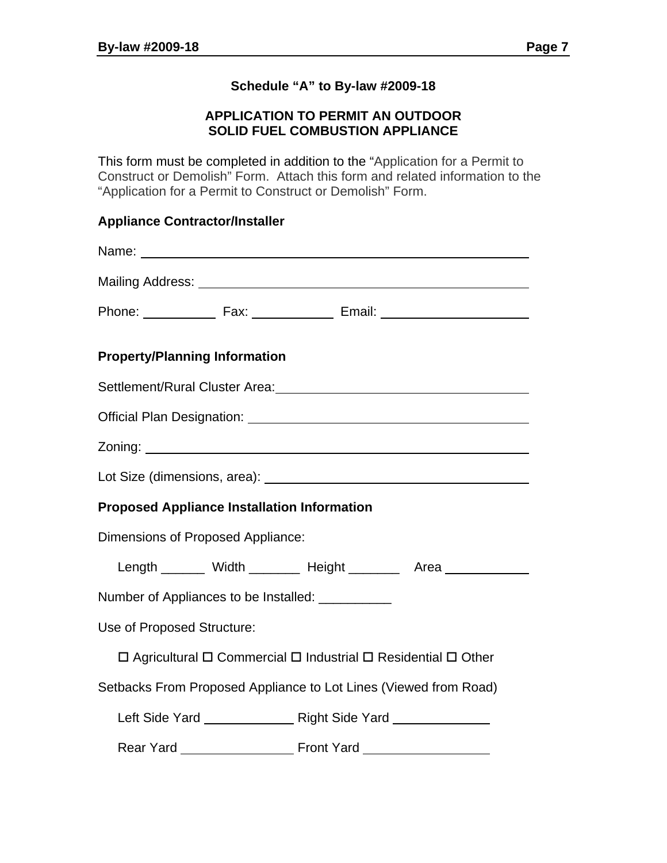#### **Schedule "A" to By-law #2009-18**

#### **APPLICATION TO PERMIT AN OUTDOOR SOLID FUEL COMBUSTION APPLIANCE**

This form must be completed in addition to the "Application for a Permit to Construct or Demolish" Form. Attach this form and related information to the "Application for a Permit to Construct or Demolish" Form.

#### **Appliance Contractor/Installer**

| Name: Name:                                                                                                    |  |  |  |  |  |
|----------------------------------------------------------------------------------------------------------------|--|--|--|--|--|
|                                                                                                                |  |  |  |  |  |
|                                                                                                                |  |  |  |  |  |
| <b>Property/Planning Information</b>                                                                           |  |  |  |  |  |
| Settlement/Rural Cluster Area: 2008 2010 2020 2021 2021 2022 2023 2024 2022 2023 2024 2022 2023 2024 2022 2023 |  |  |  |  |  |
|                                                                                                                |  |  |  |  |  |
|                                                                                                                |  |  |  |  |  |
|                                                                                                                |  |  |  |  |  |
| <b>Proposed Appliance Installation Information</b>                                                             |  |  |  |  |  |
| Dimensions of Proposed Appliance:                                                                              |  |  |  |  |  |
| Length ________ Width ________ Height ________ Area ____________                                               |  |  |  |  |  |
| Number of Appliances to be Installed: __________                                                               |  |  |  |  |  |
| Use of Proposed Structure:                                                                                     |  |  |  |  |  |
| $\Box$ Agricultural $\Box$ Commercial $\Box$ Industrial $\Box$ Residential $\Box$ Other                        |  |  |  |  |  |
| Setbacks From Proposed Appliance to Lot Lines (Viewed from Road)                                               |  |  |  |  |  |
|                                                                                                                |  |  |  |  |  |
|                                                                                                                |  |  |  |  |  |
|                                                                                                                |  |  |  |  |  |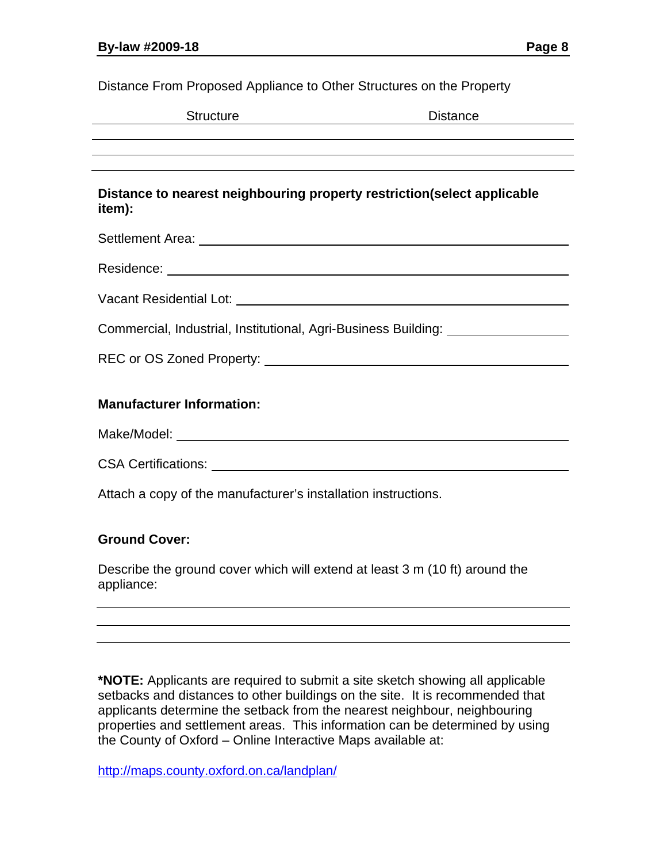Distance From Proposed Appliance to Other Structures on the Property

| <b>Structure</b>                                                                   | <b>Distance</b>                                                                      |
|------------------------------------------------------------------------------------|--------------------------------------------------------------------------------------|
|                                                                                    |                                                                                      |
|                                                                                    |                                                                                      |
| Distance to nearest neighbouring property restriction (select applicable<br>item): |                                                                                      |
|                                                                                    |                                                                                      |
|                                                                                    |                                                                                      |
|                                                                                    |                                                                                      |
|                                                                                    | Commercial, Industrial, Institutional, Agri-Business Building: University Management |
|                                                                                    |                                                                                      |
|                                                                                    |                                                                                      |
| <b>Manufacturer Information:</b>                                                   |                                                                                      |
|                                                                                    |                                                                                      |
|                                                                                    |                                                                                      |
| Attach a copy of the manufacturer's installation instructions.                     |                                                                                      |
|                                                                                    |                                                                                      |

#### **Ground Cover:**

Describe the ground cover which will extend at least 3 m (10 ft) around the appliance:

**\*NOTE:** Applicants are required to submit a site sketch showing all applicable setbacks and distances to other buildings on the site. It is recommended that applicants determine the setback from the nearest neighbour, neighbouring properties and settlement areas. This information can be determined by using the County of Oxford – Online Interactive Maps available at:

http://maps.county.oxford.on.ca/landplan/